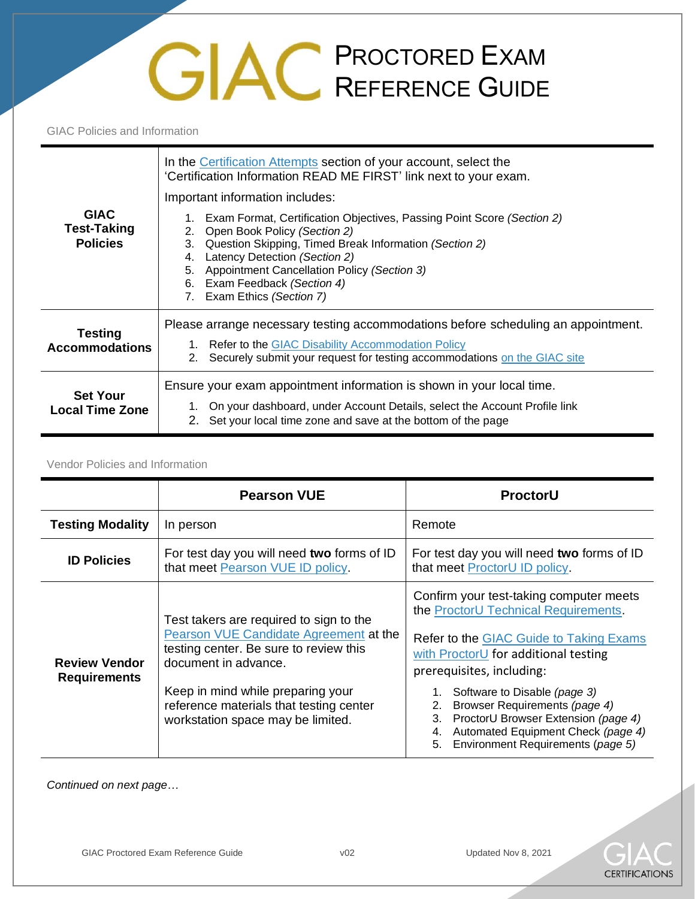## **PROCTORED EXAM** REFERENCE GUIDE

GIAC Policies and Information

| <b>GIAC</b><br><b>Test-Taking</b><br><b>Policies</b> | In the Certification Attempts section of your account, select the<br>'Certification Information READ ME FIRST' link next to your exam.<br>Important information includes:<br>Exam Format, Certification Objectives, Passing Point Score (Section 2)<br>Open Book Policy (Section 2)<br>2.<br>Question Skipping, Timed Break Information (Section 2)<br>3.<br>Latency Detection (Section 2)<br>4.<br>Appointment Cancellation Policy (Section 3)<br>5.<br>Exam Feedback (Section 4)<br>6.<br>Exam Ethics (Section 7) |
|------------------------------------------------------|---------------------------------------------------------------------------------------------------------------------------------------------------------------------------------------------------------------------------------------------------------------------------------------------------------------------------------------------------------------------------------------------------------------------------------------------------------------------------------------------------------------------|
| <b>Testing</b><br><b>Accommodations</b>              | 7.<br>Please arrange necessary testing accommodations before scheduling an appointment.<br>1. Refer to the GIAC Disability Accommodation Policy<br>Securely submit your request for testing accommodations on the GIAC site<br>2.                                                                                                                                                                                                                                                                                   |
| <b>Set Your</b><br><b>Local Time Zone</b>            | Ensure your exam appointment information is shown in your local time.<br>On your dashboard, under Account Details, select the Account Profile link<br>2. Set your local time zone and save at the bottom of the page                                                                                                                                                                                                                                                                                                |

## Vendor Policies and Information

|                                             | <b>Pearson VUE</b>                                                                                                                                                                                                                                                       | ProctorU                                                                                                                                                                                                                                                                                                                                                                                                   |
|---------------------------------------------|--------------------------------------------------------------------------------------------------------------------------------------------------------------------------------------------------------------------------------------------------------------------------|------------------------------------------------------------------------------------------------------------------------------------------------------------------------------------------------------------------------------------------------------------------------------------------------------------------------------------------------------------------------------------------------------------|
| <b>Testing Modality</b>                     | In person                                                                                                                                                                                                                                                                | Remote                                                                                                                                                                                                                                                                                                                                                                                                     |
| <b>ID Policies</b>                          | For test day you will need two forms of ID<br>that meet Pearson VUE ID policy.                                                                                                                                                                                           | For test day you will need two forms of ID<br>that meet ProctorU ID policy.                                                                                                                                                                                                                                                                                                                                |
| <b>Review Vendor</b><br><b>Requirements</b> | Test takers are required to sign to the<br>Pearson VUE Candidate Agreement at the<br>testing center. Be sure to review this<br>document in advance.<br>Keep in mind while preparing your<br>reference materials that testing center<br>workstation space may be limited. | Confirm your test-taking computer meets<br>the ProctorU Technical Requirements.<br>Refer to the GIAC Guide to Taking Exams<br>with ProctorU for additional testing<br>prerequisites, including:<br>Software to Disable (page 3)<br>Browser Requirements (page 4)<br>2.<br>ProctorU Browser Extension (page 4)<br>3.<br>Automated Equipment Check (page 4)<br>4.<br>Environment Requirements (page 5)<br>5. |

*Continued on next page…*

**CERTIFICATIONS**